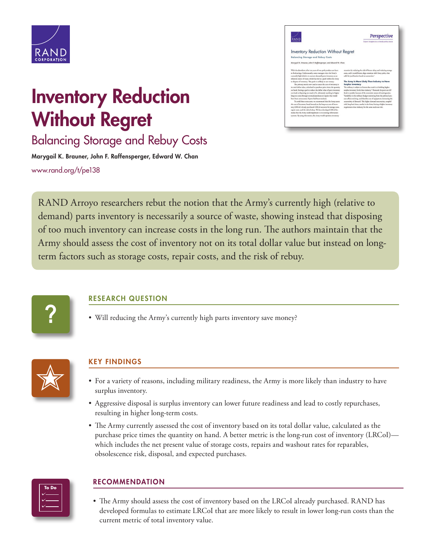

Perspective

#### Inventory Reduction Without Regret

∠∕<br>≷AND

# Inventory Reduction Without Regret

Balancing Storage and Rebuy Costs

Marygail K. Brauner, John F. Raffensperger, Edward W. Chan [www.rand.org/t/pe138](http://www.rand.org/t/pe138)

RAND Arroyo researchers rebut the notion that the Army's currently high (relative to demand) parts inventory is necessarily a source of waste, showing instead that disposing of too much inventory can increase costs in the long run. The authors maintain that the Army should assess the cost of inventory not on its total dollar value but instead on longterm factors such as storage costs, repair costs, and the risk of rebuy.



## RESEARCH QUESTION

• Will reducing the Army's currently high parts inventory save money?



## KEY FINDINGS

- For a variety of reasons, including military readiness, the Army is more likely than industry to have surplus inventory.
- Aggressive disposal is surplus inventory can lower future readiness and lead to costly repurchases, resulting in higher long-term costs.
- The Army currently assessed the cost of inventory based on its total dollar value, calculated as the purchase price times the quantity on hand. A better metric is the long-run cost of inventory (LRCoI) which includes the net present value of storage costs, repairs and washout rates for reparables, obsolescence risk, disposal, and expected purchases.



#### RECOMMENDATION

• The Army should assess the cost of inventory based on the LRCoI already purchased. RAND has developed formulas to estimate LRCoI that are more likely to result in lower long-run costs than the current metric of total inventory value.